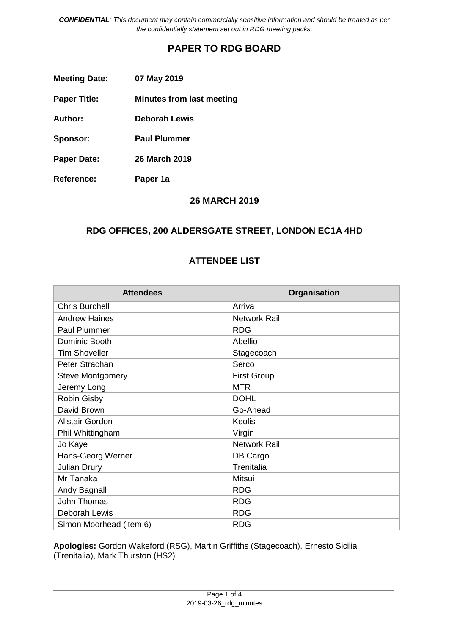*CONFIDENTIAL: This document may contain commercially sensitive information and should be treated as per the confidentially statement set out in RDG meeting packs.*

## **PAPER TO RDG BOARD**

| <b>Meeting Date:</b> | 07 May 2019                      |
|----------------------|----------------------------------|
| <b>Paper Title:</b>  | <b>Minutes from last meeting</b> |
| Author:              | <b>Deborah Lewis</b>             |
| Sponsor:             | <b>Paul Plummer</b>              |
| <b>Paper Date:</b>   | 26 March 2019                    |
| <b>Reference:</b>    | Paper 1a                         |

#### **26 MARCH 2019**

### **RDG OFFICES, 200 ALDERSGATE STREET, LONDON EC1A 4HD**

### **ATTENDEE LIST**

| <b>Attendees</b>        | Organisation        |
|-------------------------|---------------------|
| <b>Chris Burchell</b>   | Arriva              |
| <b>Andrew Haines</b>    | <b>Network Rail</b> |
| <b>Paul Plummer</b>     | <b>RDG</b>          |
| Dominic Booth           | Abellio             |
| <b>Tim Shoveller</b>    | Stagecoach          |
| Peter Strachan          | Serco               |
| <b>Steve Montgomery</b> | <b>First Group</b>  |
| Jeremy Long             | <b>MTR</b>          |
| Robin Gisby             | <b>DOHL</b>         |
| David Brown             | Go-Ahead            |
| <b>Alistair Gordon</b>  | Keolis              |
| Phil Whittingham        | Virgin              |
| Jo Kaye                 | <b>Network Rail</b> |
| Hans-Georg Werner       | DB Cargo            |
| <b>Julian Drury</b>     | Trenitalia          |
| Mr Tanaka               | <b>Mitsui</b>       |
| Andy Bagnall            | <b>RDG</b>          |
| <b>John Thomas</b>      | <b>RDG</b>          |
| Deborah Lewis           | <b>RDG</b>          |
| Simon Moorhead (item 6) | <b>RDG</b>          |

**Apologies:** Gordon Wakeford (RSG), Martin Griffiths (Stagecoach), Ernesto Sicilia (Trenitalia), Mark Thurston (HS2)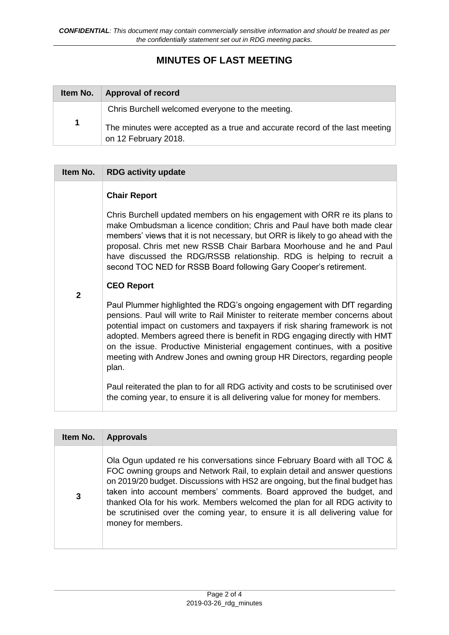# **MINUTES OF LAST MEETING**

| Item No.    | Approval of record                                                                                  |
|-------------|-----------------------------------------------------------------------------------------------------|
|             | Chris Burchell welcomed everyone to the meeting.                                                    |
| $\mathbf 1$ | The minutes were accepted as a true and accurate record of the last meeting<br>on 12 February 2018. |

| Item No.       | <b>RDG activity update</b>                                                                                                                                                                                                                                                                                                                                                                                                                                                                  |
|----------------|---------------------------------------------------------------------------------------------------------------------------------------------------------------------------------------------------------------------------------------------------------------------------------------------------------------------------------------------------------------------------------------------------------------------------------------------------------------------------------------------|
|                | <b>Chair Report</b>                                                                                                                                                                                                                                                                                                                                                                                                                                                                         |
|                | Chris Burchell updated members on his engagement with ORR re its plans to<br>make Ombudsman a licence condition; Chris and Paul have both made clear<br>members' views that it is not necessary, but ORR is likely to go ahead with the<br>proposal. Chris met new RSSB Chair Barbara Moorhouse and he and Paul<br>have discussed the RDG/RSSB relationship. RDG is helping to recruit a<br>second TOC NED for RSSB Board following Gary Cooper's retirement.                               |
|                | <b>CEO Report</b>                                                                                                                                                                                                                                                                                                                                                                                                                                                                           |
| $\overline{2}$ | Paul Plummer highlighted the RDG's ongoing engagement with DfT regarding<br>pensions. Paul will write to Rail Minister to reiterate member concerns about<br>potential impact on customers and taxpayers if risk sharing framework is not<br>adopted. Members agreed there is benefit in RDG engaging directly with HMT<br>on the issue. Productive Ministerial engagement continues, with a positive<br>meeting with Andrew Jones and owning group HR Directors, regarding people<br>plan. |
|                | Paul reiterated the plan to for all RDG activity and costs to be scrutinised over<br>the coming year, to ensure it is all delivering value for money for members.                                                                                                                                                                                                                                                                                                                           |

| Item No. | <b>Approvals</b>                                                                                                                                                                                                                                                                                                                                                                                                                                                                                       |
|----------|--------------------------------------------------------------------------------------------------------------------------------------------------------------------------------------------------------------------------------------------------------------------------------------------------------------------------------------------------------------------------------------------------------------------------------------------------------------------------------------------------------|
| 3        | Ola Ogun updated re his conversations since February Board with all TOC &<br>FOC owning groups and Network Rail, to explain detail and answer questions<br>on 2019/20 budget. Discussions with HS2 are ongoing, but the final budget has<br>taken into account members' comments. Board approved the budget, and<br>thanked Ola for his work. Members welcomed the plan for all RDG activity to<br>be scrutinised over the coming year, to ensure it is all delivering value for<br>money for members. |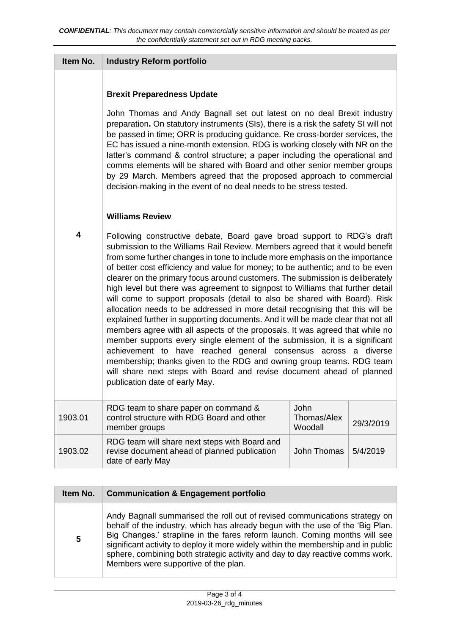| Item No. | <b>Industry Reform portfolio</b>                                                                                                                                                                                                                                                                                                                                                                                                                                                                                                                                                                                                                                                                                                                                                                                                                                                                                                                                                                                                                                                                                                                                    |                                |           |
|----------|---------------------------------------------------------------------------------------------------------------------------------------------------------------------------------------------------------------------------------------------------------------------------------------------------------------------------------------------------------------------------------------------------------------------------------------------------------------------------------------------------------------------------------------------------------------------------------------------------------------------------------------------------------------------------------------------------------------------------------------------------------------------------------------------------------------------------------------------------------------------------------------------------------------------------------------------------------------------------------------------------------------------------------------------------------------------------------------------------------------------------------------------------------------------|--------------------------------|-----------|
|          | <b>Brexit Preparedness Update</b><br>John Thomas and Andy Bagnall set out latest on no deal Brexit industry<br>preparation. On statutory instruments (SIs), there is a risk the safety SI will not<br>be passed in time; ORR is producing guidance. Re cross-border services, the<br>EC has issued a nine-month extension. RDG is working closely with NR on the<br>latter's command & control structure; a paper including the operational and<br>comms elements will be shared with Board and other senior member groups<br>by 29 March. Members agreed that the proposed approach to commercial<br>decision-making in the event of no deal needs to be stress tested.                                                                                                                                                                                                                                                                                                                                                                                                                                                                                            |                                |           |
|          | <b>Williams Review</b>                                                                                                                                                                                                                                                                                                                                                                                                                                                                                                                                                                                                                                                                                                                                                                                                                                                                                                                                                                                                                                                                                                                                              |                                |           |
| 4        | Following constructive debate, Board gave broad support to RDG's draft<br>submission to the Williams Rail Review. Members agreed that it would benefit<br>from some further changes in tone to include more emphasis on the importance<br>of better cost efficiency and value for money; to be authentic; and to be even<br>clearer on the primary focus around customers. The submission is deliberately<br>high level but there was agreement to signpost to Williams that further detail<br>will come to support proposals (detail to also be shared with Board). Risk<br>allocation needs to be addressed in more detail recognising that this will be<br>explained further in supporting documents. And it will be made clear that not all<br>members agree with all aspects of the proposals. It was agreed that while no<br>member supports every single element of the submission, it is a significant<br>achievement to have reached general consensus across a diverse<br>membership; thanks given to the RDG and owning group teams. RDG team<br>will share next steps with Board and revise document ahead of planned<br>publication date of early May. |                                |           |
| 1903.01  | RDG team to share paper on command &<br>control structure with RDG Board and other<br>member groups                                                                                                                                                                                                                                                                                                                                                                                                                                                                                                                                                                                                                                                                                                                                                                                                                                                                                                                                                                                                                                                                 | John<br>Thomas/Alex<br>Woodall | 29/3/2019 |
| 1903.02  | RDG team will share next steps with Board and<br>revise document ahead of planned publication<br>date of early May                                                                                                                                                                                                                                                                                                                                                                                                                                                                                                                                                                                                                                                                                                                                                                                                                                                                                                                                                                                                                                                  | <b>John Thomas</b>             | 5/4/2019  |

| Item No.        | <b>Communication &amp; Engagement portfolio</b>                                                                                                                                                                                                                                                                                                                                                                                                          |
|-----------------|----------------------------------------------------------------------------------------------------------------------------------------------------------------------------------------------------------------------------------------------------------------------------------------------------------------------------------------------------------------------------------------------------------------------------------------------------------|
| $5\phantom{.0}$ | Andy Bagnall summarised the roll out of revised communications strategy on<br>behalf of the industry, which has already begun with the use of the 'Big Plan.<br>Big Changes.' strapline in the fares reform launch. Coming months will see<br>significant activity to deploy it more widely within the membership and in public<br>sphere, combining both strategic activity and day to day reactive comms work.<br>Members were supportive of the plan. |